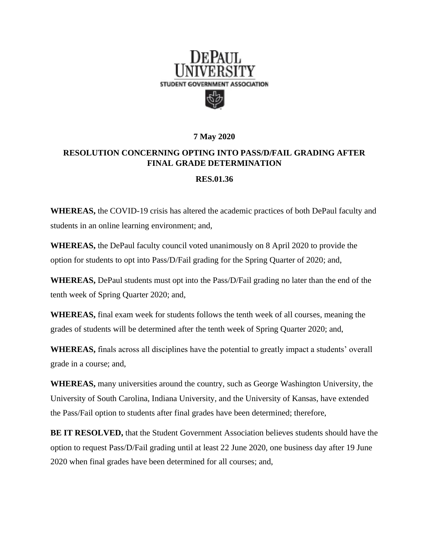

## **7 May 2020**

## **RESOLUTION CONCERNING OPTING INTO PASS/D/FAIL GRADING AFTER FINAL GRADE DETERMINATION**

## **RES.01.36**

**WHEREAS,** the COVID-19 crisis has altered the academic practices of both DePaul faculty and students in an online learning environment; and,

**WHEREAS,** the DePaul faculty council voted unanimously on 8 April 2020 to provide the option for students to opt into Pass/D/Fail grading for the Spring Quarter of 2020; and,

**WHEREAS,** DePaul students must opt into the Pass/D/Fail grading no later than the end of the tenth week of Spring Quarter 2020; and,

**WHEREAS,** final exam week for students follows the tenth week of all courses, meaning the grades of students will be determined after the tenth week of Spring Quarter 2020; and,

**WHEREAS,** finals across all disciplines have the potential to greatly impact a students' overall grade in a course; and,

**WHEREAS,** many universities around the country, such as George Washington University, the University of South Carolina, Indiana University, and the University of Kansas, have extended the Pass/Fail option to students after final grades have been determined; therefore,

**BE IT RESOLVED,** that the Student Government Association believes students should have the option to request Pass/D/Fail grading until at least 22 June 2020, one business day after 19 June 2020 when final grades have been determined for all courses; and,